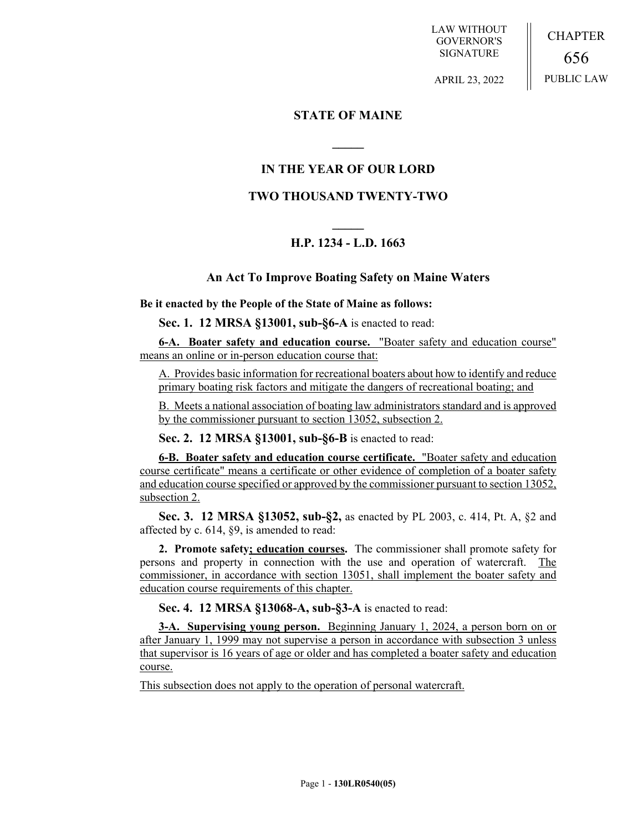LAW WITHOUT GOVERNOR'S SIGNATURE

CHAPTER 656 PUBLIC LAW

APRIL 23, 2022

### **STATE OF MAINE**

**\_\_\_\_\_**

# **IN THE YEAR OF OUR LORD**

## **TWO THOUSAND TWENTY-TWO**

# **\_\_\_\_\_ H.P. 1234 - L.D. 1663**

### **An Act To Improve Boating Safety on Maine Waters**

**Be it enacted by the People of the State of Maine as follows:**

**Sec. 1. 12 MRSA §13001, sub-§6-A** is enacted to read:

**6-A. Boater safety and education course.** "Boater safety and education course" means an online or in-person education course that:

A. Provides basic information for recreational boaters about how to identify and reduce primary boating risk factors and mitigate the dangers of recreational boating; and

B. Meets a national association of boating law administrators standard and is approved by the commissioner pursuant to section 13052, subsection 2.

**Sec. 2. 12 MRSA §13001, sub-§6-B** is enacted to read:

**6-B. Boater safety and education course certificate.** "Boater safety and education course certificate" means a certificate or other evidence of completion of a boater safety and education course specified or approved by the commissioner pursuant to section 13052, subsection 2.

**Sec. 3. 12 MRSA §13052, sub-§2,** as enacted by PL 2003, c. 414, Pt. A, §2 and affected by c. 614, §9, is amended to read:

**2. Promote safety; education courses.** The commissioner shall promote safety for persons and property in connection with the use and operation of watercraft. The commissioner, in accordance with section 13051, shall implement the boater safety and education course requirements of this chapter.

**Sec. 4. 12 MRSA §13068-A, sub-§3-A** is enacted to read:

**3-A. Supervising young person.** Beginning January 1, 2024, a person born on or after January 1, 1999 may not supervise a person in accordance with subsection 3 unless that supervisor is 16 years of age or older and has completed a boater safety and education course.

This subsection does not apply to the operation of personal watercraft.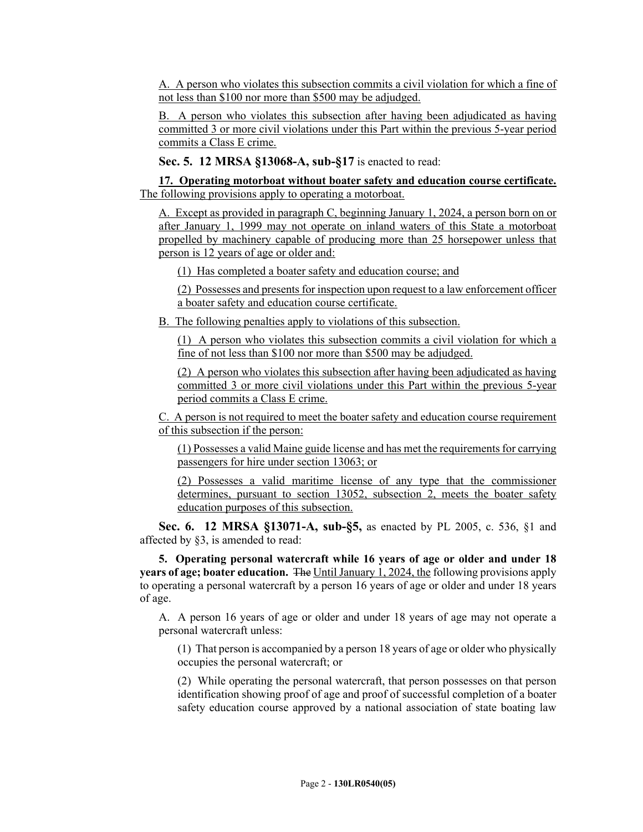A. A person who violates this subsection commits a civil violation for which a fine of not less than \$100 nor more than \$500 may be adjudged.

B. A person who violates this subsection after having been adjudicated as having committed 3 or more civil violations under this Part within the previous 5-year period commits a Class E crime.

**Sec. 5. 12 MRSA §13068-A, sub-§17** is enacted to read:

**17. Operating motorboat without boater safety and education course certificate.**  The following provisions apply to operating a motorboat.

A. Except as provided in paragraph C, beginning January 1, 2024, a person born on or after January 1, 1999 may not operate on inland waters of this State a motorboat propelled by machinery capable of producing more than 25 horsepower unless that person is 12 years of age or older and:

(1) Has completed a boater safety and education course; and

(2) Possesses and presents for inspection upon request to a law enforcement officer a boater safety and education course certificate.

B. The following penalties apply to violations of this subsection.

(1) A person who violates this subsection commits a civil violation for which a fine of not less than \$100 nor more than \$500 may be adjudged.

(2) A person who violates this subsection after having been adjudicated as having committed 3 or more civil violations under this Part within the previous 5-year period commits a Class E crime.

C. A person is not required to meet the boater safety and education course requirement of this subsection if the person:

(1) Possesses a valid Maine guide license and has met the requirements for carrying passengers for hire under section 13063; or

(2) Possesses a valid maritime license of any type that the commissioner determines, pursuant to section 13052, subsection 2, meets the boater safety education purposes of this subsection.

**Sec. 6. 12 MRSA §13071-A, sub-§5,** as enacted by PL 2005, c. 536, §1 and affected by §3, is amended to read:

**5. Operating personal watercraft while 16 years of age or older and under 18 years of age; boater education.** The Until January 1, 2024, the following provisions apply to operating a personal watercraft by a person 16 years of age or older and under 18 years of age.

A. A person 16 years of age or older and under 18 years of age may not operate a personal watercraft unless:

(1) That person is accompanied by a person 18 years of age or older who physically occupies the personal watercraft; or

(2) While operating the personal watercraft, that person possesses on that person identification showing proof of age and proof of successful completion of a boater safety education course approved by a national association of state boating law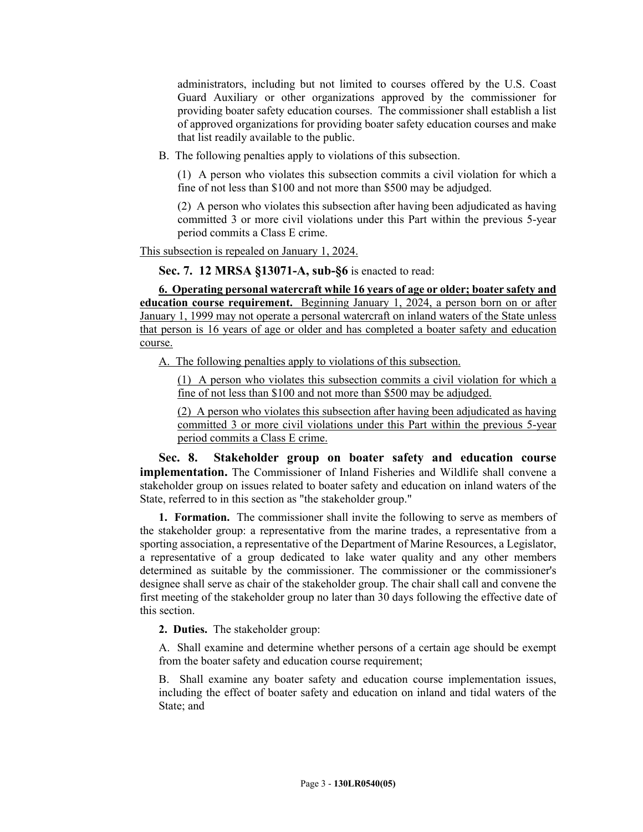administrators, including but not limited to courses offered by the U.S. Coast Guard Auxiliary or other organizations approved by the commissioner for providing boater safety education courses. The commissioner shall establish a list of approved organizations for providing boater safety education courses and make that list readily available to the public.

B. The following penalties apply to violations of this subsection.

(1) A person who violates this subsection commits a civil violation for which a fine of not less than \$100 and not more than \$500 may be adjudged.

(2) A person who violates this subsection after having been adjudicated as having committed 3 or more civil violations under this Part within the previous 5-year period commits a Class E crime.

This subsection is repealed on January 1, 2024.

**Sec. 7. 12 MRSA §13071-A, sub-§6** is enacted to read:

**6. Operating personal watercraft while 16 years of age or older; boater safety and education course requirement.** Beginning January 1, 2024, a person born on or after January 1, 1999 may not operate a personal watercraft on inland waters of the State unless that person is 16 years of age or older and has completed a boater safety and education course.

A. The following penalties apply to violations of this subsection.

(1) A person who violates this subsection commits a civil violation for which a fine of not less than \$100 and not more than \$500 may be adjudged.

(2) A person who violates this subsection after having been adjudicated as having committed 3 or more civil violations under this Part within the previous 5-year period commits a Class E crime.

**Sec. 8. Stakeholder group on boater safety and education course implementation.** The Commissioner of Inland Fisheries and Wildlife shall convene a stakeholder group on issues related to boater safety and education on inland waters of the State, referred to in this section as "the stakeholder group."

**1. Formation.** The commissioner shall invite the following to serve as members of the stakeholder group: a representative from the marine trades, a representative from a sporting association, a representative of the Department of Marine Resources, a Legislator, a representative of a group dedicated to lake water quality and any other members determined as suitable by the commissioner. The commissioner or the commissioner's designee shall serve as chair of the stakeholder group. The chair shall call and convene the first meeting of the stakeholder group no later than 30 days following the effective date of this section.

**2. Duties.** The stakeholder group:

A. Shall examine and determine whether persons of a certain age should be exempt from the boater safety and education course requirement;

B. Shall examine any boater safety and education course implementation issues, including the effect of boater safety and education on inland and tidal waters of the State; and